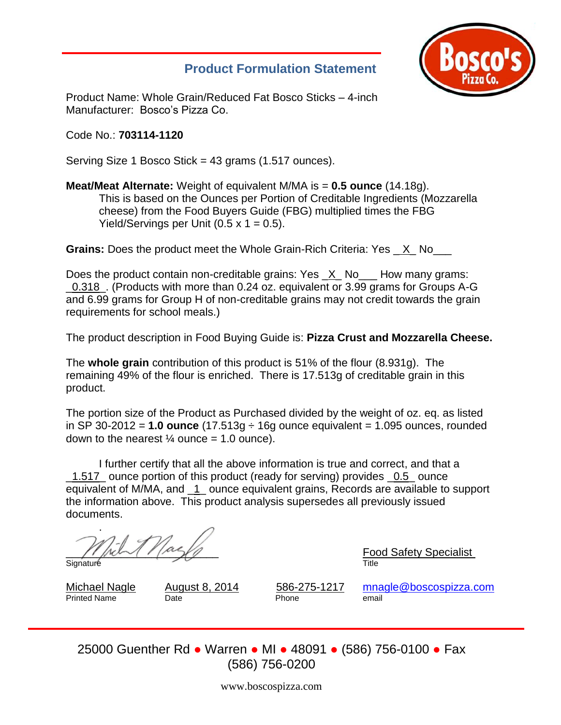## **Product Formulation Statement**



Product Name: Whole Grain/Reduced Fat Bosco Sticks – 4-inch Manufacturer: Bosco's Pizza Co.

Code No.: **703114-1120**

Serving Size 1 Bosco Stick = 43 grams (1.517 ounces).

### **Meat/Meat Alternate:** Weight of equivalent M/MA is = **0.5 ounce** (14.18g). This is based on the Ounces per Portion of Creditable Ingredients (Mozzarella cheese) from the Food Buyers Guide (FBG) multiplied times the FBG Yield/Servings per Unit  $(0.5 \times 1 = 0.5)$ .

**Grains:** Does the product meet the Whole Grain-Rich Criteria: Yes \_ X\_ No\_\_\_

Does the product contain non-creditable grains: Yes X No. How many grams: \_0.318\_. (Products with more than 0.24 oz. equivalent or 3.99 grams for Groups A-G and 6.99 grams for Group H of non-creditable grains may not credit towards the grain requirements for school meals.)

The product description in Food Buying Guide is: **Pizza Crust and Mozzarella Cheese.**

The **whole grain** contribution of this product is 51% of the flour (8.931g). The remaining 49% of the flour is enriched. There is 17.513g of creditable grain in this product.

The portion size of the Product as Purchased divided by the weight of oz. eq. as listed in SP 30-2012 = **1.0 ounce** (17.513g ÷ 16g ounce equivalent = 1.095 ounces, rounded down to the nearest  $\frac{1}{4}$  ounce = 1.0 ounce).

I further certify that all the above information is true and correct, and that a \_1.517\_ ounce portion of this product (ready for serving) provides \_0.5\_ ounce equivalent of M/MA, and \_1\_ ounce equivalent grains, Records are available to support the information above. This product analysis supersedes all previously issued documents.

. Signature Title

\_\_\_\_\_\_\_\_\_\_\_\_\_\_\_\_\_\_\_\_\_\_\_\_\_ Food Safety Specialist

Printed Name Date **Date Phone** email

Michael Nagle August 8, 2014 586-275-1217 [mnagle@boscospizza.com](mailto:mnagle@boscospizza.com)

25000 Guenther Rd ● Warren ● MI ● 48091 ● (586) 756-0100 ● Fax (586) 756-0200

www.boscospizza.com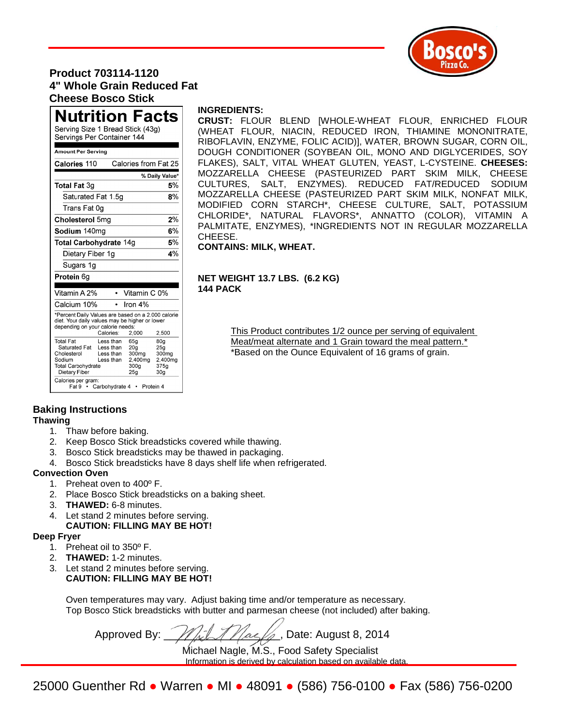

## **Product 703114-1120 4" Whole Grain Reduced Fat Cheese Bosco Stick**

## **Nutrition Facts**

Serving Size 1 Bread Stick (43g) Servings Per Container 144

#### Amount Per Serving

| Calories 110                                                                                                                                                            |                                                                    | Calories from Fat 25                                                              |                                                                                                |  |  |  |  |
|-------------------------------------------------------------------------------------------------------------------------------------------------------------------------|--------------------------------------------------------------------|-----------------------------------------------------------------------------------|------------------------------------------------------------------------------------------------|--|--|--|--|
|                                                                                                                                                                         |                                                                    |                                                                                   | % Daily Value*                                                                                 |  |  |  |  |
| <b>Total Fat 3g</b>                                                                                                                                                     |                                                                    |                                                                                   | 5%                                                                                             |  |  |  |  |
| Saturated Fat 1.5g                                                                                                                                                      | 8%                                                                 |                                                                                   |                                                                                                |  |  |  |  |
| Trans Fat 0ɑ                                                                                                                                                            |                                                                    |                                                                                   |                                                                                                |  |  |  |  |
| 2%<br>Cholesterol 5mg                                                                                                                                                   |                                                                    |                                                                                   |                                                                                                |  |  |  |  |
| Sodium 140mg                                                                                                                                                            |                                                                    |                                                                                   | 6%                                                                                             |  |  |  |  |
| 5%<br><b>Total Carbohydrate 14g</b>                                                                                                                                     |                                                                    |                                                                                   |                                                                                                |  |  |  |  |
| Dietary Fiber 1g                                                                                                                                                        |                                                                    |                                                                                   | 4%                                                                                             |  |  |  |  |
| Sugars 1g                                                                                                                                                               |                                                                    |                                                                                   |                                                                                                |  |  |  |  |
| Protein 6g                                                                                                                                                              |                                                                    |                                                                                   |                                                                                                |  |  |  |  |
| Vitamin A 2%                                                                                                                                                            |                                                                    | Vitamin C 0%                                                                      |                                                                                                |  |  |  |  |
| Calcium 10%                                                                                                                                                             |                                                                    | Iron $4%$                                                                         |                                                                                                |  |  |  |  |
| *Percent Daily Values are based on a 2,000 calorie<br>diet. Your daily values may be higher or lower<br>depending on your calorie needs:<br>Calories:<br>2,000<br>2,500 |                                                                    |                                                                                   |                                                                                                |  |  |  |  |
| <b>Total Fat</b><br>Saturated Fat<br>Cholesterol<br>Sodium<br><b>Total Carbohydrate</b><br>Dietary Fiber<br>Calories per gram:<br>Fat 9<br>٠                            | Less than<br>Less than<br>Less than<br>Less than<br>Carbohydrate 4 | 65g<br>20 <sub>a</sub><br>300 <sub>mg</sub><br>2,400mg<br>300 <sub>g</sub><br>25g | 80 <sub>g</sub><br>25 <sub>a</sub><br>300mg<br>2,400mg<br>375q<br>30 <sub>g</sub><br>Protein 4 |  |  |  |  |

#### **INGREDIENTS:**

**CRUST:** FLOUR BLEND [WHOLE-WHEAT FLOUR, ENRICHED FLOUR (WHEAT FLOUR, NIACIN, REDUCED IRON, THIAMINE MONONITRATE, RIBOFLAVIN, ENZYME, FOLIC ACID)], WATER, BROWN SUGAR, CORN OIL, DOUGH CONDITIONER (SOYBEAN OIL, MONO AND DIGLYCERIDES, SOY FLAKES), SALT, VITAL WHEAT GLUTEN, YEAST, L-CYSTEINE. **CHEESES:** MOZZARELLA CHEESE (PASTEURIZED PART SKIM MILK, CHEESE CULTURES, SALT, ENZYMES). REDUCED FAT/REDUCED SODIUM MOZZARELLA CHEESE (PASTEURIZED PART SKIM MILK, NONFAT MILK, MODIFIED CORN STARCH\*, CHEESE CULTURE, SALT, POTASSIUM CHLORIDE\*, NATURAL FLAVORS\*, ANNATTO (COLOR), VITAMIN A PALMITATE, ENZYMES), \*INGREDIENTS NOT IN REGULAR MOZZARELLA CHEESE.

**CONTAINS: MILK, WHEAT.** 

#### **NET WEIGHT 13.7 LBS. (6.2 KG) 144 PACK**

This Product contributes 1/2 ounce per serving of equivalent Meat/meat alternate and 1 Grain toward the meal pattern.\* \*Based on the Ounce Equivalent of 16 grams of grain.

# **Baking Instructions**

#### **Thawing**

- 1. Thaw before baking.
- 2. Keep Bosco Stick breadsticks covered while thawing.
- 3. Bosco Stick breadsticks may be thawed in packaging.
- 4. Bosco Stick breadsticks have 8 days shelf life when refrigerated.

#### **Convection Oven**

- 1. Preheat oven to 400º F.
- 2. Place Bosco Stick breadsticks on a baking sheet.
- 3. **THAWED:** 6-8 minutes.
- 4. Let stand 2 minutes before serving. **CAUTION: FILLING MAY BE HOT!**

#### **Deep Fryer**

- 1. Preheat oil to 350º F.
- 2. **THAWED:** 1-2 minutes.
- 3. Let stand 2 minutes before serving. **CAUTION: FILLING MAY BE HOT!**

Oven temperatures may vary. Adjust baking time and/or temperature as necessary. Top Bosco Stick breadsticks with butter and parmesan cheese (not included) after baking.

Approved By:  $\frac{1}{\sqrt{|\mathcal{L}|}}$   $\frac{1}{\sqrt{|\mathcal{L}|}}$ , Date: August 8, 2014

Michael Nagle, M.S., Food Safety Specialist Information is derived by calculation based on available data.